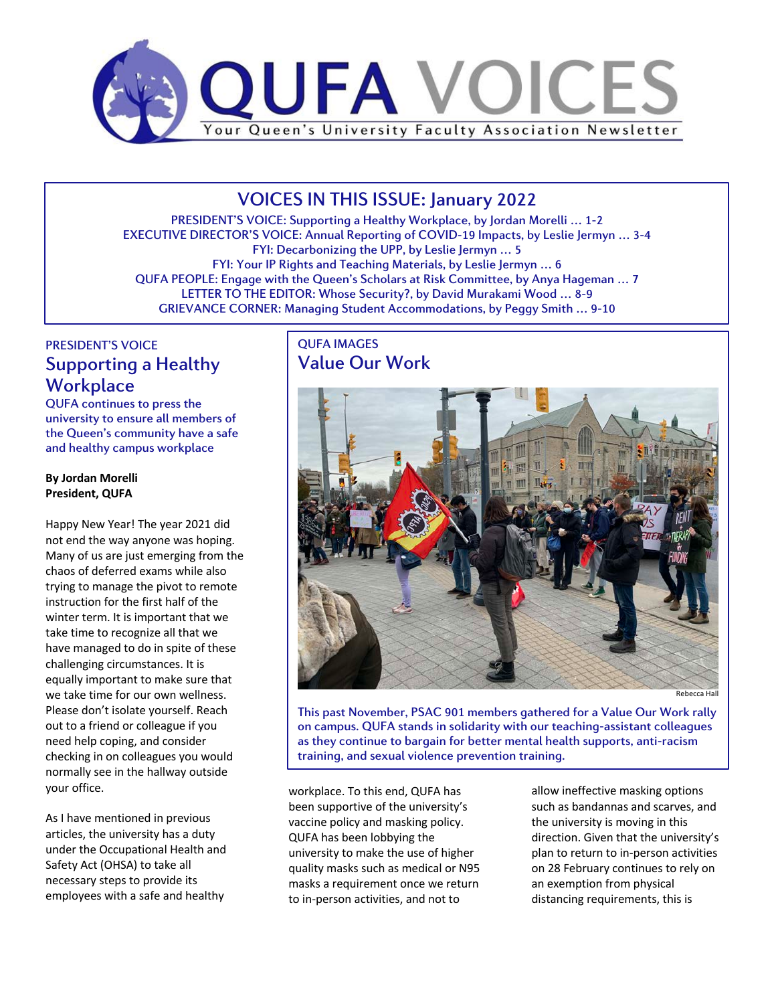

# VOICES IN THIS ISSUE: January 2022

PRESIDENT'S VOICE: Supporting a Healthy Workplace, by Jordan Morelli … 1-2 EXECUTIVE DIRECTOR'S VOICE: Annual Reporting of COVID-19 Impacts, by Leslie Jermyn … 3-4 FYI: Decarbonizing the UPP, by Leslie Jermyn … 5 FYI: Your IP Rights and Teaching Materials, by Leslie Jermyn … 6 QUFA PEOPLE: Engage with the Queen's Scholars at Risk Committee, by Anya Hageman … 7 LETTER TO THE EDITOR: Whose Security?, by David Murakami Wood … 8-9 GRIEVANCE CORNER: Managing Student Accommodations, by Peggy Smith … 9-10

# PRESIDENT'S VOICE Supporting a Healthy **Workplace**

QUFA continues to press the university to ensure all members of the Queen's community have a safe and healthy campus workplace

#### **By Jordan Morelli President, QUFA**

Happy New Year! The year 2021 did not end the way anyone was hoping. Many of us are just emerging from the chaos of deferred exams while also trying to manage the pivot to remote instruction for the first half of the winter term. It is important that we take time to recognize all that we have managed to do in spite of these challenging circumstances. It is equally important to make sure that we take time for our own wellness. Please don't isolate yourself. Reach out to a friend or colleague if you need help coping, and consider checking in on colleagues you would normally see in the hallway outside your office.

As I have mentioned in previous articles, the university has a duty under the Occupational Health and Safety Act (OHSA) to take all necessary steps to provide its employees with a safe and healthy

# QUFA IMAGES Value Our Work



Rebecca Hall

This past November, PSAC 901 members gathered for a Value Our Work rally on campus. QUFA stands in solidarity with our teaching-assistant colleagues as they continue to bargain for better mental health supports, anti-racism training, and sexual violence prevention training.

workplace. To this end, QUFA has been supportive of the university's vaccine policy and masking policy. QUFA has been lobbying the university to make the use of higher quality masks such as medical or N95 masks a requirement once we return to in-person activities, and not to

allow ineffective masking options such as bandannas and scarves, and the university is moving in this direction. Given that the university's plan to return to in-person activities on 28 February continues to rely on an exemption from physical distancing requirements, this is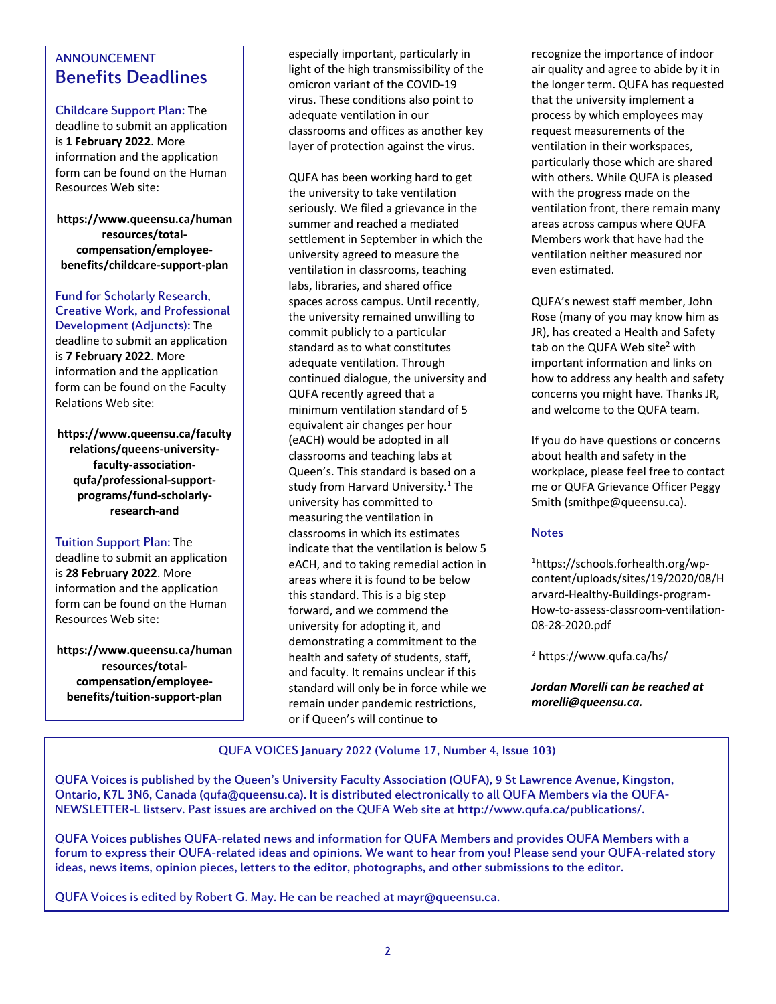## ANNOUNCEMENT Benefits Deadlines

Childcare Support Plan: The deadline to submit an application is **1 February 2022**. More information and the application form can be found on the Human Resources Web site:

**https://www.queensu.ca/human resources/totalcompensation/employeebenefits/childcare-support-plan**

Fund for Scholarly Research, Creative Work, and Professional Development (Adjuncts): The deadline to submit an application is **7 February 2022**. More information and the application form can be found on the Faculty Relations Web site:

**https://www.queensu.ca/faculty relations/queens-universityfaculty-associationqufa/professional-supportprograms/fund-scholarlyresearch-and**

Tuition Support Plan: The deadline to submit an application is **28 February 2022**. More information and the application form can be found on the Human Resources Web site:

**https://www.queensu.ca/human resources/totalcompensation/employeebenefits/tuition-support-plan**

especially important, particularly in light of the high transmissibility of the omicron variant of the COVID-19 virus. These conditions also point to adequate ventilation in our classrooms and offices as another key layer of protection against the virus.

QUFA has been working hard to get the university to take ventilation seriously. We filed a grievance in the summer and reached a mediated settlement in September in which the university agreed to measure the ventilation in classrooms, teaching labs, libraries, and shared office spaces across campus. Until recently, the university remained unwilling to commit publicly to a particular standard as to what constitutes adequate ventilation. Through continued dialogue, the university and QUFA recently agreed that a minimum ventilation standard of 5 equivalent air changes per hour (eACH) would be adopted in all classrooms and teaching labs at Queen's. This standard is based on a study from Harvard University. $1$  The university has committed to measuring the ventilation in classrooms in which its estimates indicate that the ventilation is below 5 eACH, and to taking remedial action in areas where it is found to be below this standard. This is a big step forward, and we commend the university for adopting it, and demonstrating a commitment to the health and safety of students, staff, and faculty. It remains unclear if this standard will only be in force while we remain under pandemic restrictions, or if Queen's will continue to

recognize the importance of indoor air quality and agree to abide by it in the longer term. QUFA has requested that the university implement a process by which employees may request measurements of the ventilation in their workspaces, particularly those which are shared with others. While QUFA is pleased with the progress made on the ventilation front, there remain many areas across campus where QUFA Members work that have had the ventilation neither measured nor even estimated.

QUFA's newest staff member, John Rose (many of you may know him as JR), has created a Health and Safety tab on the QUFA Web site<sup>2</sup> with important information and links on how to address any health and safety concerns you might have. Thanks JR, and welcome to the QUFA team.

If you do have questions or concerns about health and safety in the workplace, please feel free to contact me or QUFA Grievance Officer Peggy Smith (smithpe@queensu.ca).

### **Notes**

1 https://schools.forhealth.org/wpcontent/uploads/sites/19/2020/08/H arvard-Healthy-Buildings-program-How-to-assess-classroom-ventilation-08-28-2020.pdf

<sup>2</sup> https://www.qufa.ca/hs/

*Jordan Morelli can be reached at morelli@queensu.ca.*

QUFA VOICES January 2022 (Volume 17, Number 4, Issue 103)

QUFA Voices is published by the Queen's University Faculty Association (QUFA), 9 St Lawrence Avenue, Kingston, Ontario, K7L 3N6, Canada (qufa@queensu.ca). It is distributed electronically to all QUFA Members via the QUFA-NEWSLETTER-L listserv. Past issues are archived on the QUFA Web site at http://www.qufa.ca/publications/.

QUFA Voices publishes QUFA-related news and information for QUFA Members and provides QUFA Members with a forum to express their QUFA-related ideas and opinions. We want to hear from you! Please send your QUFA-related story ideas, news items, opinion pieces, letters to the editor, photographs, and other submissions to the editor.

QUFA Voices is edited by Robert G. May. He can be reached at mayr@queensu.ca.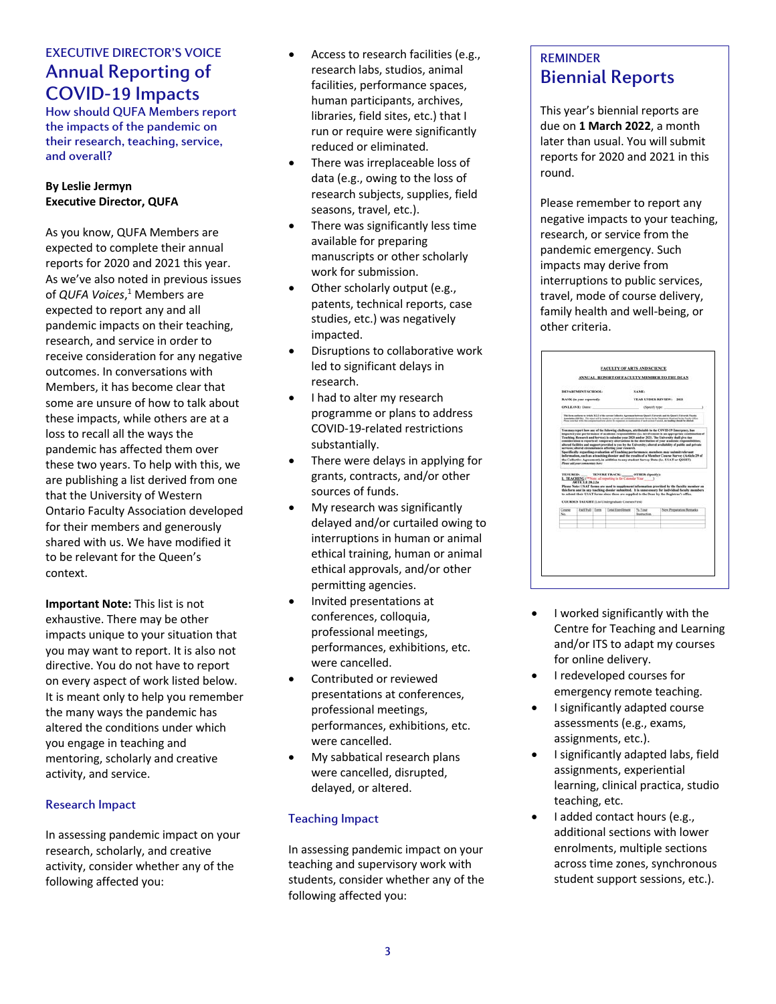# EXECUTIVE DIRECTOR'S VOICE Annual Reporting of COVID-19 Impacts

How should QUFA Members report the impacts of the pandemic on their research, teaching, service, and overall?

## **By Leslie Jermyn Executive Director, QUFA**

As you know, QUFA Members are expected to complete their annual reports for 2020 and 2021 this year. As we've also noted in previous issues of *QUFA Voices*, <sup>1</sup> Members are expected to report any and all pandemic impacts on their teaching, research, and service in order to receive consideration for any negative outcomes. In conversations with Members, it has become clear that some are unsure of how to talk about these impacts, while others are at a loss to recall all the ways the pandemic has affected them over these two years. To help with this, we are publishing a list derived from one that the University of Western Ontario Faculty Association developed for their members and generously shared with us. We have modified it to be relevant for the Queen's context.

**Important Note:** This list is not exhaustive. There may be other impacts unique to your situation that you may want to report. It is also not directive. You do not have to report on every aspect of work listed below. It is meant only to help you remember the many ways the pandemic has altered the conditions under which you engage in teaching and mentoring, scholarly and creative activity, and service.

### Research Impact

In assessing pandemic impact on your research, scholarly, and creative activity, consider whether any of the following affected you:

- Access to research facilities (e.g., research labs, studios, animal facilities, performance spaces, human participants, archives, libraries, field sites, etc.) that I run or require were significantly reduced or eliminated.
- There was irreplaceable loss of data (e.g., owing to the loss of research subjects, supplies, field seasons, travel, etc.).
- There was significantly less time available for preparing manuscripts or other scholarly work for submission.
- Other scholarly output (e.g., patents, technical reports, case studies, etc.) was negatively impacted.
- Disruptions to collaborative work led to significant delays in research.
- I had to alter my research programme or plans to address COVID-19-related restrictions substantially.
- There were delays in applying for grants, contracts, and/or other sources of funds.
- My research was significantly delayed and/or curtailed owing to interruptions in human or animal ethical training, human or animal ethical approvals, and/or other permitting agencies.
- Invited presentations at conferences, colloquia, professional meetings, performances, exhibitions, etc. were cancelled.
- Contributed or reviewed presentations at conferences, professional meetings, performances, exhibitions, etc. were cancelled.
- My sabbatical research plans were cancelled, disrupted, delayed, or altered.

## Teaching Impact

In assessing pandemic impact on your teaching and supervisory work with students, consider whether any of the following affected you:

# REMINDER Biennial Reports

This year's biennial reports are due on **1 March 2022**, a month later than usual. You will submit reports for 2020 and 2021 in this round.

Please remember to report any negative impacts to your teaching, research, or service from the pandemic emergency. Such impacts may derive from interruptions to public services, travel, mode of course delivery, family health and well-being, or other criteria.

|                                 |                        |  |                                                                                                                                                       |                                | ANNUAL REPORT OF FACULTY MEMBER TO THE DEAN                                                                                                                                                                                                                                                                                                                                                                                               |  |
|---------------------------------|------------------------|--|-------------------------------------------------------------------------------------------------------------------------------------------------------|--------------------------------|-------------------------------------------------------------------------------------------------------------------------------------------------------------------------------------------------------------------------------------------------------------------------------------------------------------------------------------------------------------------------------------------------------------------------------------------|--|
| <b>DEPARTMENT/SCHOOL:</b>       |                        |  |                                                                                                                                                       | NAME:                          |                                                                                                                                                                                                                                                                                                                                                                                                                                           |  |
| <b>RANK</b> (is year reported): |                        |  |                                                                                                                                                       | <b>YEAR UNDER REVIEW: 2021</b> |                                                                                                                                                                                                                                                                                                                                                                                                                                           |  |
| ON LEAVE: Date:                 |                        |  |                                                                                                                                                       | (Specify type:                 |                                                                                                                                                                                                                                                                                                                                                                                                                                           |  |
|                                 |                        |  |                                                                                                                                                       |                                | This has contained to Artists (N.J.) of the corresponding the Automatic Internet Councils and the Ocean's Explorate Theory<br>Association ADEFAL. This report with his treated or a private and positionized discussions for use for the Couporterior Head and his de Carolly USA or<br>Paras with that while this componential form affered for experience or evidenceline of each accident if sended, are boadlings should be detailed. |  |
| <b>TENURED:</b>                 | <b>ARTICLE 28.2.2a</b> |  | TENURE TRACK: OTHER (Specify):<br>L. TEACHING (**Note: all reporting is for Calendar Year<br><b>COURSES TAUGHT</b> (List Undergraduate Courses First) |                                | Please Note: USAT forms are used to supplement information peovided by the faculty member on<br>this form and in any teaching docuier submitted. It is unnecessary for individual faculty members<br>to submit their USAT forms since these are supplied to the Dean by the Registeur's office.                                                                                                                                           |  |
| Course                          | HalfFull Term          |  | Total Enrollment                                                                                                                                      | 75 Your<br>Instruction         | New Preparation Remarks                                                                                                                                                                                                                                                                                                                                                                                                                   |  |
| No.                             |                        |  |                                                                                                                                                       |                                |                                                                                                                                                                                                                                                                                                                                                                                                                                           |  |

- I worked significantly with the Centre for Teaching and Learning and/or ITS to adapt my courses for online delivery.
- I redeveloped courses for emergency remote teaching.
- I significantly adapted course assessments (e.g., exams, assignments, etc.).
- I significantly adapted labs, field assignments, experiential learning, clinical practica, studio teaching, etc.
- I added contact hours (e.g., additional sections with lower enrolments, multiple sections across time zones, synchronous student support sessions, etc.).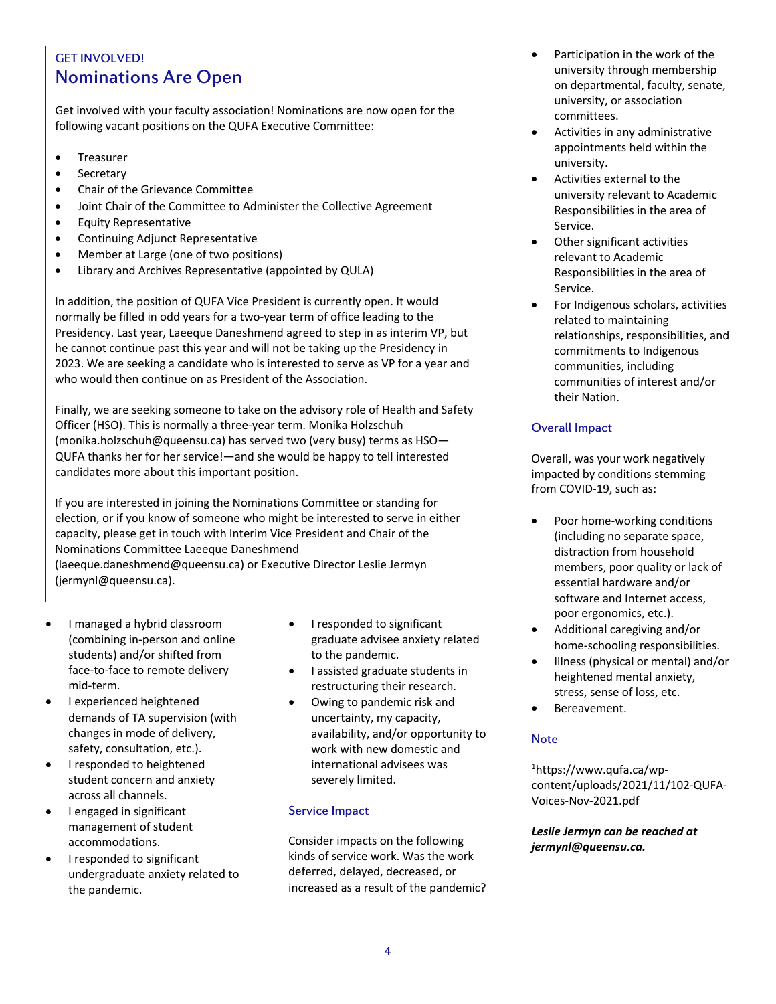# GET INVOLVED! Nominations Are Open

Get involved with your faculty association! Nominations are now open for the following vacant positions on the QUFA Executive Committee:

- Treasurer
- **Secretary**
- Chair of the Grievance Committee
- Joint Chair of the Committee to Administer the Collective Agreement
- Equity Representative
- Continuing Adjunct Representative
- Member at Large (one of two positions)
- Library and Archives Representative (appointed by QULA)

In addition, the position of QUFA Vice President is currently open. It would normally be filled in odd years for a two-year term of office leading to the Presidency. Last year, Laeeque Daneshmend agreed to step in as interim VP, but he cannot continue past this year and will not be taking up the Presidency in 2023. We are seeking a candidate who is interested to serve as VP for a year and who would then continue on as President of the Association.

Finally, we are seeking someone to take on the advisory role of Health and Safety Officer (HSO). This is normally a three-year term. Monika Holzschuh (monika.holzschuh@queensu.ca) has served two (very busy) terms as HSO— QUFA thanks her for her service!—and she would be happy to tell interested candidates more about this important position.

If you are interested in joining the Nominations Committee or standing for election, or if you know of someone who might be interested to serve in either capacity, please get in touch with Interim Vice President and Chair of the Nominations Committee Laeeque Daneshmend (laeeque.daneshmend@queensu.ca) or Executive Director Leslie Jermyn (jermynl@queensu.ca).

- I managed a hybrid classroom (combining in-person and online students) and/or shifted from face-to-face to remote delivery mid-term.
- I experienced heightened demands of TA supervision (with changes in mode of delivery, safety, consultation, etc.).
- I responded to heightened student concern and anxiety across all channels.
- I engaged in significant management of student accommodations.
- I responded to significant undergraduate anxiety related to the pandemic.
- I responded to significant graduate advisee anxiety related to the pandemic.
- I assisted graduate students in restructuring their research.
- Owing to pandemic risk and uncertainty, my capacity, availability, and/or opportunity to work with new domestic and international advisees was severely limited.

#### Service Impact

Consider impacts on the following kinds of service work. Was the work deferred, delayed, decreased, or increased as a result of the pandemic?

- Participation in the work of the university through membership on departmental, faculty, senate, university, or association committees.
- Activities in any administrative appointments held within the university.
- Activities external to the university relevant to Academic Responsibilities in the area of Service.
- Other significant activities relevant to Academic Responsibilities in the area of Service.
- For Indigenous scholars, activities related to maintaining relationships, responsibilities, and commitments to Indigenous communities, including communities of interest and/or their Nation.

### Overall Impact

Overall, was your work negatively impacted by conditions stemming from COVID-19, such as:

- Poor home-working conditions (including no separate space, distraction from household members, poor quality or lack of essential hardware and/or software and Internet access, poor ergonomics, etc.).
- Additional caregiving and/or home-schooling responsibilities.
- Illness (physical or mental) and/or heightened mental anxiety, stress, sense of loss, etc.
- Bereavement.

### **Note**

1 https://www.qufa.ca/wpcontent/uploads/2021/11/102-QUFA-Voices-Nov-2021.pdf

#### *Leslie Jermyn can be reached at jermynl@queensu.ca.*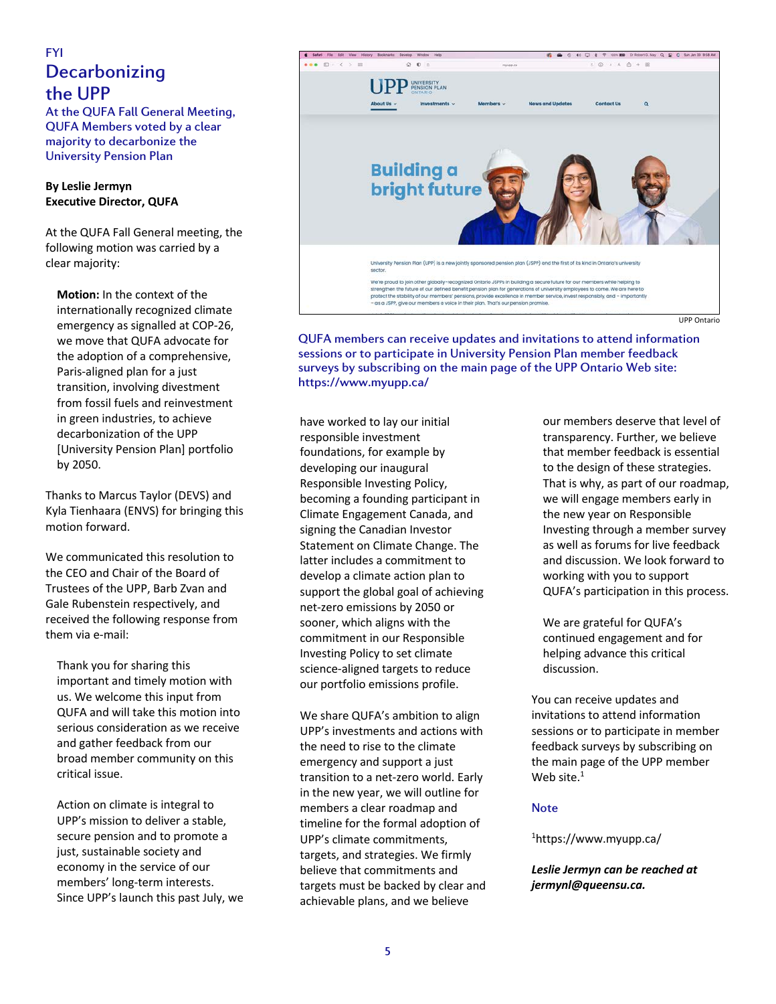# FYI **Decarbonizing** the UPP

At the QUFA Fall General Meeting, QUFA Members voted by a clear majority to decarbonize the University Pension Plan

### **By Leslie Jermyn Executive Director, QUFA**

At the QUFA Fall General meeting, the following motion was carried by a clear majority:

**Motion:** In the context of the internationally recognized climate emergency as signalled at COP-26, we move that QUFA advocate for the adoption of a comprehensive, Paris-aligned plan for a just transition, involving divestment from fossil fuels and reinvestment in green industries, to achieve decarbonization of the UPP [University Pension Plan] portfolio by 2050.

Thanks to Marcus Taylor (DEVS) and Kyla Tienhaara (ENVS) for bringing this motion forward.

We communicated this resolution to the CEO and Chair of the Board of Trustees of the UPP, Barb Zvan and Gale Rubenstein respectively, and received the following response from them via e-mail:

Thank you for sharing this important and timely motion with us. We welcome this input from QUFA and will take this motion into serious consideration as we receive and gather feedback from our broad member community on this critical issue.

Action on climate is integral to UPP's mission to deliver a stable, secure pension and to promote a just, sustainable society and economy in the service of our members' long-term interests. Since UPP's launch this past July, we



QUFA members can receive updates and invitations to attend information sessions or to participate in University Pension Plan member feedback surveys by subscribing on the main page of the UPP Ontario Web site: https://www.myupp.ca/

have worked to lay our initial responsible investment foundations, for example by developing our inaugural Responsible Investing Policy, becoming a founding participant in Climate Engagement Canada, and signing the Canadian Investor Statement on Climate Change. The latter includes a commitment to develop a climate action plan to support the global goal of achieving net-zero emissions by 2050 or sooner, which aligns with the commitment in our Responsible Investing Policy to set climate science-aligned targets to reduce our portfolio emissions profile.

We share QUFA's ambition to align UPP's investments and actions with the need to rise to the climate emergency and support a just transition to a net-zero world. Early in the new year, we will outline for members a clear roadmap and timeline for the formal adoption of UPP's climate commitments, targets, and strategies. We firmly believe that commitments and targets must be backed by clear and achievable plans, and we believe

our members deserve that level of transparency. Further, we believe that member feedback is essential to the design of these strategies. That is why, as part of our roadmap, we will engage members early in the new year on Responsible Investing through a member survey as well as forums for live feedback and discussion. We look forward to working with you to support QUFA's participation in this process.

We are grateful for QUFA's continued engagement and for helping advance this critical discussion.

You can receive updates and invitations to attend information sessions or to participate in member feedback surveys by subscribing on the main page of the UPP member Web site.<sup>1</sup>

#### Note

1 https://www.myupp.ca/

*Leslie Jermyn can be reached at jermynl@queensu.ca.*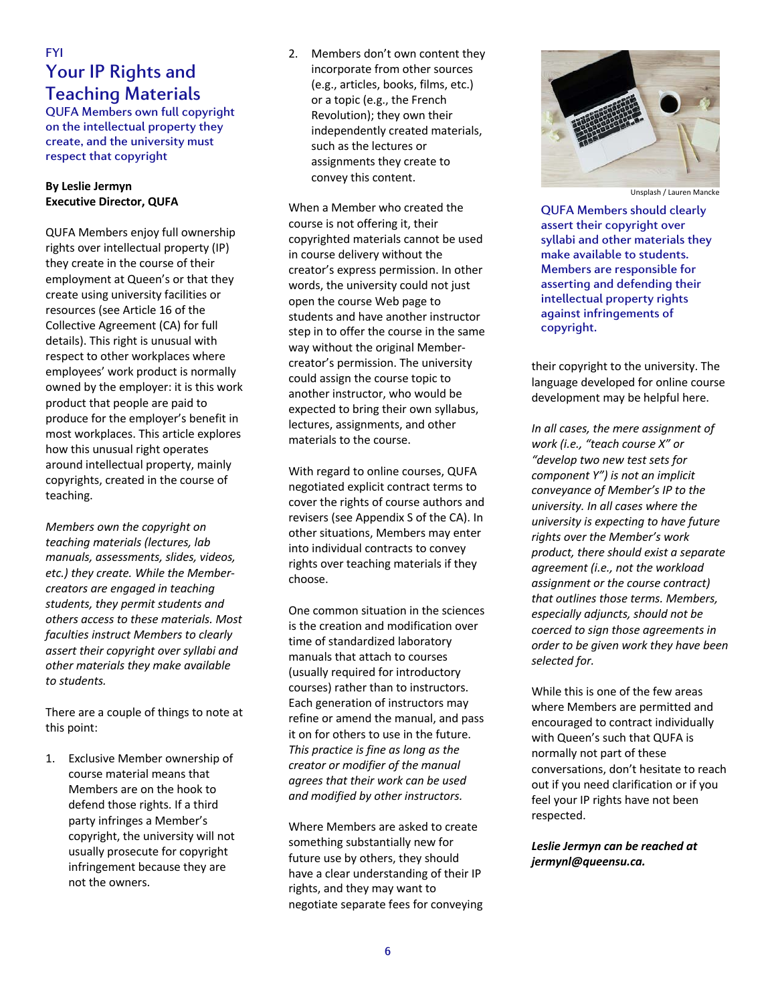# FYI Your IP Rights and Teaching Materials

QUFA Members own full copyright on the intellectual property they create, and the university must respect that copyright

## **By Leslie Jermyn Executive Director, QUFA**

QUFA Members enjoy full ownership rights over intellectual property (IP) they create in the course of their employment at Queen's or that they create using university facilities or resources (see Article 16 of the Collective Agreement (CA) for full details). This right is unusual with respect to other workplaces where employees' work product is normally owned by the employer: it is this work product that people are paid to produce for the employer's benefit in most workplaces. This article explores how this unusual right operates around intellectual property, mainly copyrights, created in the course of teaching.

*Members own the copyright on teaching materials (lectures, lab manuals, assessments, slides, videos, etc.) they create. While the Membercreators are engaged in teaching students, they permit students and others access to these materials. Most faculties instruct Members to clearly assert their copyright over syllabi and other materials they make available to students.* 

There are a couple of things to note at this point:

1. Exclusive Member ownership of course material means that Members are on the hook to defend those rights. If a third party infringes a Member's copyright, the university will not usually prosecute for copyright infringement because they are not the owners.

2. Members don't own content they incorporate from other sources (e.g., articles, books, films, etc.) or a topic (e.g., the French Revolution); they own their independently created materials, such as the lectures or assignments they create to convey this content.

When a Member who created the course is not offering it, their copyrighted materials cannot be used in course delivery without the creator's express permission. In other words, the university could not just open the course Web page to students and have another instructor step in to offer the course in the same way without the original Membercreator's permission. The university could assign the course topic to another instructor, who would be expected to bring their own syllabus, lectures, assignments, and other materials to the course.

With regard to online courses, QUFA negotiated explicit contract terms to cover the rights of course authors and revisers (see Appendix S of the CA). In other situations, Members may enter into individual contracts to convey rights over teaching materials if they choose.

One common situation in the sciences is the creation and modification over time of standardized laboratory manuals that attach to courses (usually required for introductory courses) rather than to instructors. Each generation of instructors may refine or amend the manual, and pass it on for others to use in the future. *This practice is fine as long as the creator or modifier of the manual agrees that their work can be used and modified by other instructors.* 

Where Members are asked to create something substantially new for future use by others, they should have a clear understanding of their IP rights, and they may want to negotiate separate fees for conveying



Unsplash / Lauren Mancke

QUFA Members should clearly assert their copyright over syllabi and other materials they make available to students. Members are responsible for asserting and defending their intellectual property rights against infringements of copyright.

their copyright to the university. The language developed for online course development may be helpful here.

*In all cases, the mere assignment of work (i.e., "teach course X" or "develop two new test sets for component Y") is not an implicit conveyance of Member's IP to the university. In all cases where the university is expecting to have future rights over the Member's work product, there should exist a separate agreement (i.e., not the workload assignment or the course contract) that outlines those terms. Members, especially adjuncts, should not be coerced to sign those agreements in order to be given work they have been selected for.* 

While this is one of the few areas where Members are permitted and encouraged to contract individually with Queen's such that QUFA is normally not part of these conversations, don't hesitate to reach out if you need clarification or if you feel your IP rights have not been respected.

### *Leslie Jermyn can be reached at jermynl@queensu.ca.*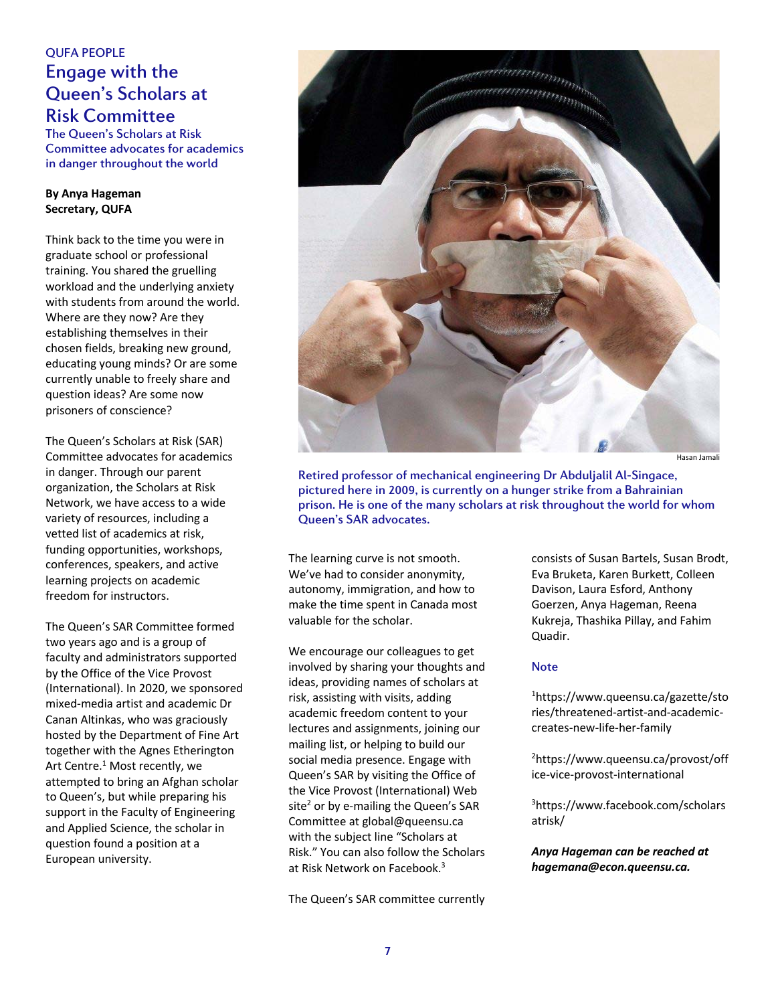# QUFA PEOPLE Engage with the Queen's Scholars at Risk Committee

The Queen's Scholars at Risk Committee advocates for academics in danger throughout the world

#### **By Anya Hageman Secretary, QUFA**

Think back to the time you were in graduate school or professional training. You shared the gruelling workload and the underlying anxiety with students from around the world. Where are they now? Are they establishing themselves in their chosen fields, breaking new ground, educating young minds? Or are some currently unable to freely share and question ideas? Are some now prisoners of conscience?

The Queen's Scholars at Risk (SAR) Committee advocates for academics in danger. Through our parent organization, the Scholars at Risk Network, we have access to a wide variety of resources, including a vetted list of academics at risk, funding opportunities, workshops, conferences, speakers, and active learning projects on academic freedom for instructors.

The Queen's SAR Committee formed two years ago and is a group of faculty and administrators supported by the Office of the Vice Provost (International). In 2020, we sponsored mixed-media artist and academic Dr Canan Altinkas, who was graciously hosted by the Department of Fine Art together with the Agnes Etherington Art Centre.<sup>1</sup> Most recently, we attempted to bring an Afghan scholar to Queen's, but while preparing his support in the Faculty of Engineering and Applied Science, the scholar in question found a position at a European university.



Hasan Jamali

Retired professor of mechanical engineering Dr Abduljalil Al-Singace, pictured here in 2009, is currently on a hunger strike from a Bahrainian prison. He is one of the many scholars at risk throughout the world for whom Queen's SAR advocates.

The learning curve is not smooth. We've had to consider anonymity, autonomy, immigration, and how to make the time spent in Canada most valuable for the scholar.

We encourage our colleagues to get involved by sharing your thoughts and ideas, providing names of scholars at risk, assisting with visits, adding academic freedom content to your lectures and assignments, joining our mailing list, or helping to build our social media presence. Engage with Queen's SAR by visiting the Office of the Vice Provost (International) Web site<sup>2</sup> or by e-mailing the Queen's SAR Committee at global@queensu.ca with the subject line "Scholars at Risk." You can also follow the Scholars at Risk Network on Facebook. 3

The Queen's SAR committee currently

consists of Susan Bartels, Susan Brodt, Eva Bruketa, Karen Burkett, Colleen Davison, Laura Esford, Anthony Goerzen, Anya Hageman, Reena Kukreja, Thashika Pillay, and Fahim Quadir.

#### **Note**

1 https://www.queensu.ca/gazette/sto ries/threatened-artist-and-academiccreates-new-life-her-family

2 https://www.queensu.ca/provost/off ice-vice-provost-international

3 https://www.facebook.com/scholars atrisk/

*Anya Hageman can be reached at hagemana@econ.queensu.ca.*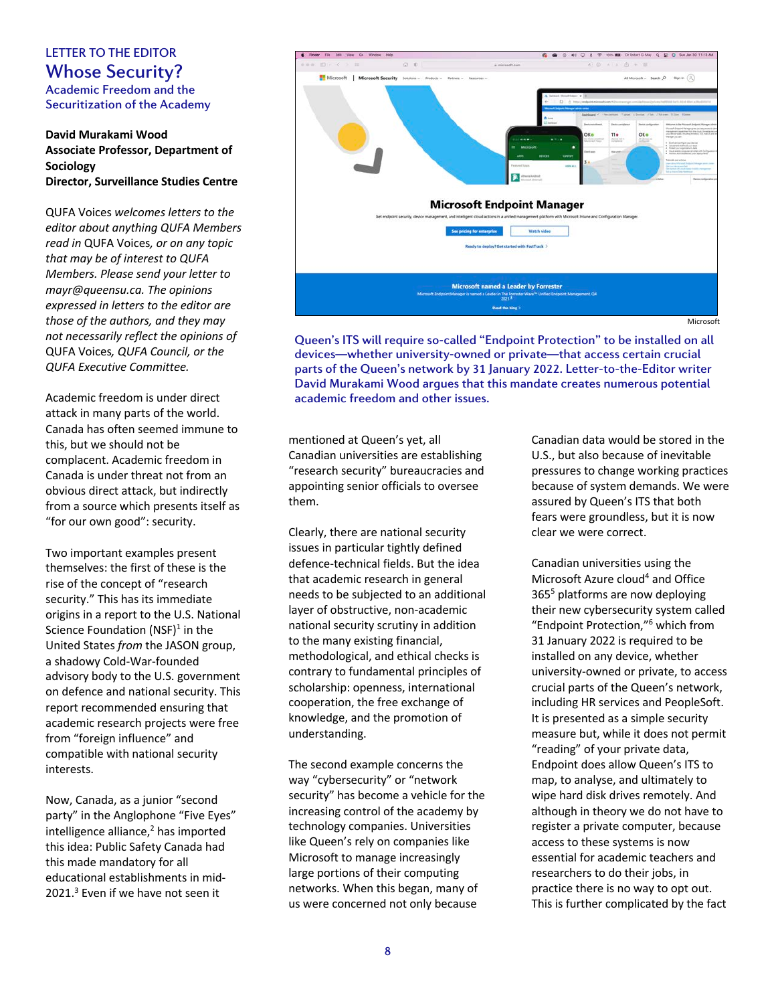## LETTER TO THE EDITOR Whose Security?

Academic Freedom and the Securitization of the Academy

#### **David Murakami Wood Associate Professor, Department of Sociology Director, Surveillance Studies Centre**

QUFA Voices *welcomes letters to the editor about anything QUFA Members read in* QUFA Voices*, or on any topic that may be of interest to QUFA Members. Please send your letter to mayr@queensu.ca. The opinions expressed in letters to the editor are those of the authors, and they may not necessarily reflect the opinions of*  QUFA Voices*, QUFA Council, or the QUFA Executive Committee.*

Academic freedom is under direct attack in many parts of the world. Canada has often seemed immune to this, but we should not be complacent. Academic freedom in Canada is under threat not from an obvious direct attack, but indirectly from a source which presents itself as "for our own good": security.

Two important examples present themselves: the first of these is the rise of the concept of "research security." This has its immediate origins in a report to the U.S. National Science Foundation (NSF) $1$  in the United States *from* the JASON group, a shadowy Cold-War-founded advisory body to the U.S. government on defence and national security. This report recommended ensuring that academic research projects were free from "foreign influence" and compatible with national security interests.

Now, Canada, as a junior "second party" in the Anglophone "Five Eyes" intelligence alliance, <sup>2</sup> has imported this idea: Public Safety Canada had this made mandatory for all educational establishments in mid-2021.<sup>3</sup> Even if we have not seen it



Queen's ITS will require so-called "Endpoint Protection" to be installed on all devices—whether university-owned or private—that access certain crucial parts of the Queen's network by 31 January 2022. Letter-to-the-Editor writer David Murakami Wood argues that this mandate creates numerous potential academic freedom and other issues.

mentioned at Queen's yet, all Canadian universities are establishing "research security" bureaucracies and appointing senior officials to oversee them.

Clearly, there are national security issues in particular tightly defined defence-technical fields. But the idea that academic research in general needs to be subjected to an additional layer of obstructive, non-academic national security scrutiny in addition to the many existing financial, methodological, and ethical checks is contrary to fundamental principles of scholarship: openness, international cooperation, the free exchange of knowledge, and the promotion of understanding.

The second example concerns the way "cybersecurity" or "network security" has become a vehicle for the increasing control of the academy by technology companies. Universities like Queen's rely on companies like Microsoft to manage increasingly large portions of their computing networks. When this began, many of us were concerned not only because

Canadian data would be stored in the U.S., but also because of inevitable pressures to change working practices because of system demands. We were assured by Queen's ITS that both fears were groundless, but it is now clear we were correct.

Canadian universities using the Microsoft Azure cloud<sup>4</sup> and Office 365<sup>5</sup> platforms are now deploying their new cybersecurity system called "Endpoint Protection,"6 which from 31 January 2022 is required to be installed on any device, whether university-owned or private, to access crucial parts of the Queen's network, including HR services and PeopleSoft. It is presented as a simple security measure but, while it does not permit "reading" of your private data, Endpoint does allow Queen's ITS to map, to analyse, and ultimately to wipe hard disk drives remotely. And although in theory we do not have to register a private computer, because access to these systems is now essential for academic teachers and researchers to do their jobs, in practice there is no way to opt out. This is further complicated by the fact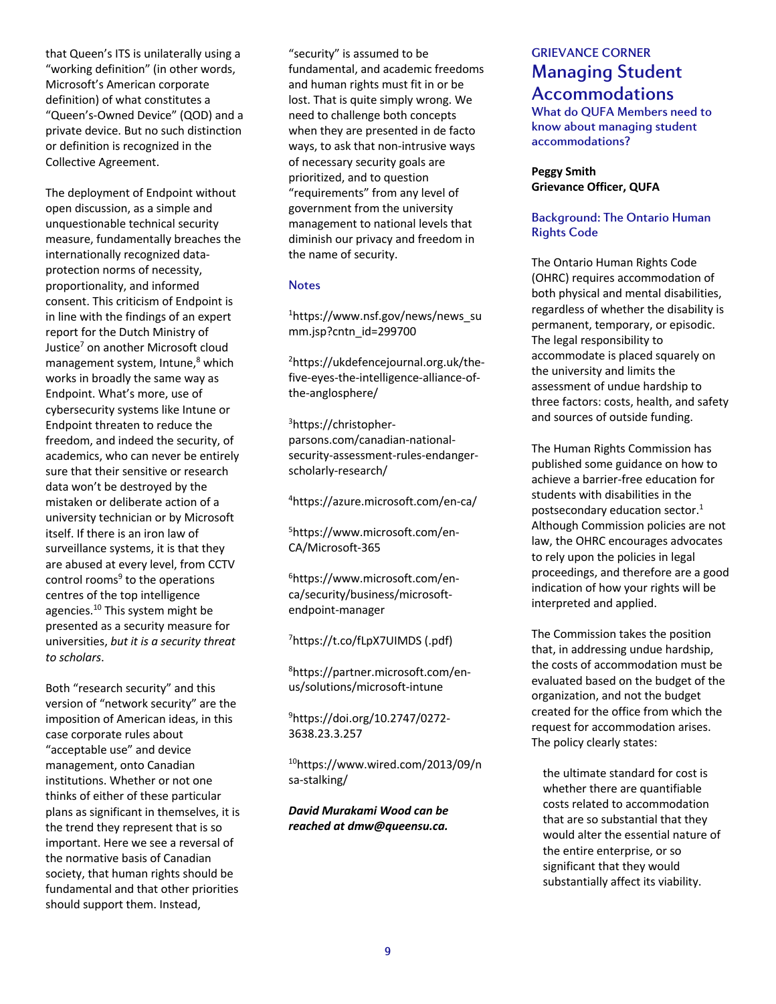that Queen's ITS is unilaterally using a "working definition" (in other words, Microsoft's American corporate definition) of what constitutes a "Queen's-Owned Device" (QOD) and a private device. But no such distinction or definition is recognized in the Collective Agreement.

The deployment of Endpoint without open discussion, as a simple and unquestionable technical security measure, fundamentally breaches the internationally recognized dataprotection norms of necessity, proportionality, and informed consent. This criticism of Endpoint is in line with the findings of an expert report for the Dutch Ministry of Justice<sup>7</sup> on another Microsoft cloud management system, Intune,<sup>8</sup> which works in broadly the same way as Endpoint. What's more, use of cybersecurity systems like Intune or Endpoint threaten to reduce the freedom, and indeed the security, of academics, who can never be entirely sure that their sensitive or research data won't be destroyed by the mistaken or deliberate action of a university technician or by Microsoft itself. If there is an iron law of surveillance systems, it is that they are abused at every level, from CCTV control rooms<sup>9</sup> to the operations centres of the top intelligence agencies.10 This system might be presented as a security measure for universities, *but it is a security threat to scholars*.

Both "research security" and this version of "network security" are the imposition of American ideas, in this case corporate rules about "acceptable use" and device management, onto Canadian institutions. Whether or not one thinks of either of these particular plans as significant in themselves, it is the trend they represent that is so important. Here we see a reversal of the normative basis of Canadian society, that human rights should be fundamental and that other priorities should support them. Instead,

"security" is assumed to be fundamental, and academic freedoms and human rights must fit in or be lost. That is quite simply wrong. We need to challenge both concepts when they are presented in de facto ways, to ask that non-intrusive ways of necessary security goals are prioritized, and to question "requirements" from any level of government from the university management to national levels that diminish our privacy and freedom in the name of security.

#### **Notes**

1 https://www.nsf.gov/news/news\_su mm.jsp?cntn\_id=299700

2 https://ukdefencejournal.org.uk/thefive-eyes-the-intelligence-alliance-ofthe-anglosphere/

3 https://christopherparsons.com/canadian-nationalsecurity-assessment-rules-endangerscholarly-research/

4 https://azure.microsoft.com/en-ca/

5 https://www.microsoft.com/en-CA/Microsoft-365

6 https://www.microsoft.com/enca/security/business/microsoftendpoint-manager

7 https://t.co/fLpX7UIMDS (.pdf)

8 https://partner.microsoft.com/enus/solutions/microsoft-intune

9 https://doi.org/10.2747/0272- 3638.23.3.257

10https://www.wired.com/2013/09/n sa-stalking/

*David Murakami Wood can be reached at dmw@queensu.ca.*

# GRIEVANCE CORNER Managing Student Accommodations

What do QUFA Members need to know about managing student accommodations?

**Peggy Smith Grievance Officer, QUFA**

#### Background: The Ontario Human Rights Code

The Ontario Human Rights Code (OHRC) requires accommodation of both physical and mental disabilities, regardless of whether the disability is permanent, temporary, or episodic. The legal responsibility to accommodate is placed squarely on the university and limits the assessment of undue hardship to three factors: costs, health, and safety and sources of outside funding.

The Human Rights Commission has published some guidance on how to achieve a barrier-free education for students with disabilities in the postsecondary education sector.1 Although Commission policies are not law, the OHRC encourages advocates to rely upon the policies in legal proceedings, and therefore are a good indication of how your rights will be interpreted and applied.

The Commission takes the position that, in addressing undue hardship, the costs of accommodation must be evaluated based on the budget of the organization, and not the budget created for the office from which the request for accommodation arises. The policy clearly states:

the ultimate standard for cost is whether there are quantifiable costs related to accommodation that are so substantial that they would alter the essential nature of the entire enterprise, or so significant that they would substantially affect its viability.